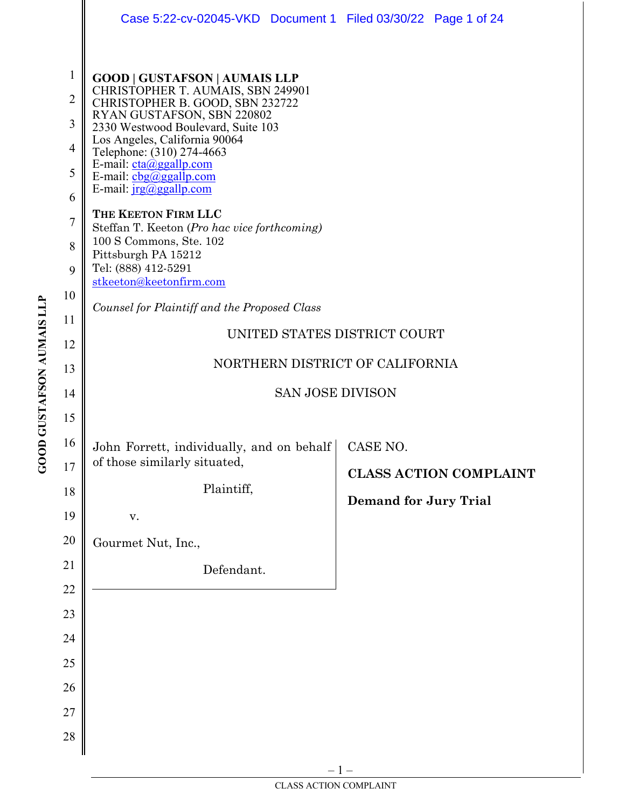|                                                                                                   | Case 5:22-cv-02045-VKD  Document 1  Filed 03/30/22  Page 1 of 24                                                                                                                                                                                                                                                                                                                                                                                                                                                                                                                               |       |                                          |                               |  |
|---------------------------------------------------------------------------------------------------|------------------------------------------------------------------------------------------------------------------------------------------------------------------------------------------------------------------------------------------------------------------------------------------------------------------------------------------------------------------------------------------------------------------------------------------------------------------------------------------------------------------------------------------------------------------------------------------------|-------|------------------------------------------|-------------------------------|--|
| $\mathbf{1}$<br>$\overline{2}$<br>3<br>$\overline{4}$<br>5<br>6<br>$\overline{7}$<br>8<br>9<br>10 | <b>GOOD   GUSTAFSON   AUMAIS LLP</b><br>CHRISTOPHER T. AUMAIS, SBN 249901<br>CHRISTOPHER B. GOOD, SBN 232722<br>RYAN GUSTAFSON, SBN 220802<br>2330 Westwood Boulevard, Suite 103<br>Los Angeles, California 90064<br>Telephone: (310) 274-4663<br>E-mail: cta@ggallp.com<br>E-mail: $\frac{\text{cbg}(a) \text{ggallp.com}}{c}$<br>E-mail: $irg(\omega)$ ggallp.com<br>THE KEETON FIRM LLC<br>Steffan T. Keeton (Pro hac vice forthcoming)<br>100 S Commons, Ste. 102<br>Pittsburgh PA 15212<br>Tel: (888) 412-5291<br>stkeeton@keetonfirm.com<br>Counsel for Plaintiff and the Proposed Class |       |                                          |                               |  |
| 11                                                                                                | UNITED STATES DISTRICT COURT                                                                                                                                                                                                                                                                                                                                                                                                                                                                                                                                                                   |       |                                          |                               |  |
| 12                                                                                                | NORTHERN DISTRICT OF CALIFORNIA                                                                                                                                                                                                                                                                                                                                                                                                                                                                                                                                                                |       |                                          |                               |  |
| 13                                                                                                |                                                                                                                                                                                                                                                                                                                                                                                                                                                                                                                                                                                                |       |                                          |                               |  |
| 14<br>15                                                                                          | <b>SAN JOSE DIVISON</b>                                                                                                                                                                                                                                                                                                                                                                                                                                                                                                                                                                        |       |                                          |                               |  |
| 16<br>17<br>18<br>19                                                                              | John Forrett, individually, and on behalf<br>of those similarly situated,<br>Plaintiff,                                                                                                                                                                                                                                                                                                                                                                                                                                                                                                        |       | CASE NO.<br><b>Demand for Jury Trial</b> | <b>CLASS ACTION COMPLAINT</b> |  |
| 20                                                                                                | V.<br>Gourmet Nut, Inc.,                                                                                                                                                                                                                                                                                                                                                                                                                                                                                                                                                                       |       |                                          |                               |  |
| 21<br>22<br>23<br>24<br>25<br>26<br>27<br>28                                                      | Defendant.                                                                                                                                                                                                                                                                                                                                                                                                                                                                                                                                                                                     |       |                                          |                               |  |
|                                                                                                   |                                                                                                                                                                                                                                                                                                                                                                                                                                                                                                                                                                                                | $-1-$ |                                          |                               |  |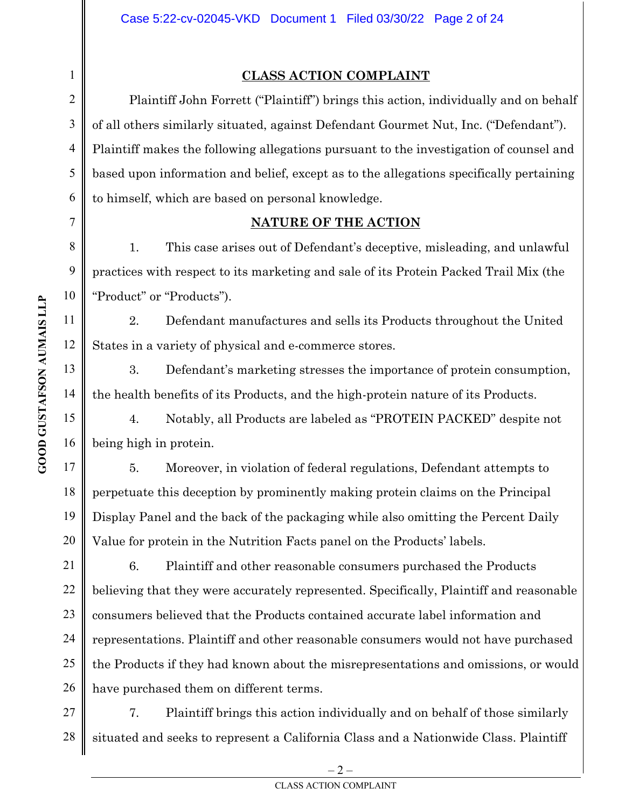### **CLASS ACTION COMPLAINT**

Plaintiff John Forrett ("Plaintiff") brings this action, individually and on behalf of all others similarly situated, against Defendant Gourmet Nut, Inc. ("Defendant"). Plaintiff makes the following allegations pursuant to the investigation of counsel and based upon information and belief, except as to the allegations specifically pertaining to himself, which are based on personal knowledge.

### **NATURE OF THE ACTION**

1. This case arises out of Defendant's deceptive, misleading, and unlawful practices with respect to its marketing and sale of its Protein Packed Trail Mix (the "Product" or "Products").

2. Defendant manufactures and sells its Products throughout the United States in a variety of physical and e-commerce stores.

3. Defendant's marketing stresses the importance of protein consumption, the health benefits of its Products, and the high-protein nature of its Products.

4. Notably, all Products are labeled as "PROTEIN PACKED" despite not being high in protein.

5. Moreover, in violation of federal regulations, Defendant attempts to perpetuate this deception by prominently making protein claims on the Principal Display Panel and the back of the packaging while also omitting the Percent Daily Value for protein in the Nutrition Facts panel on the Products' labels.

6. Plaintiff and other reasonable consumers purchased the Products believing that they were accurately represented. Specifically, Plaintiff and reasonable consumers believed that the Products contained accurate label information and representations. Plaintiff and other reasonable consumers would not have purchased the Products if they had known about the misrepresentations and omissions, or would have purchased them on different terms.

27 28 7. Plaintiff brings this action individually and on behalf of those similarly situated and seeks to represent a California Class and a Nationwide Class. Plaintiff

1

2

3

4

5

6

7

8

9

10

11

 $\overline{\phantom{a}}$ 

12

13

14

15

16

17

18

19

20

21

22

23

24

25

26

 $-2$  – CLASS ACTION COMPLAINT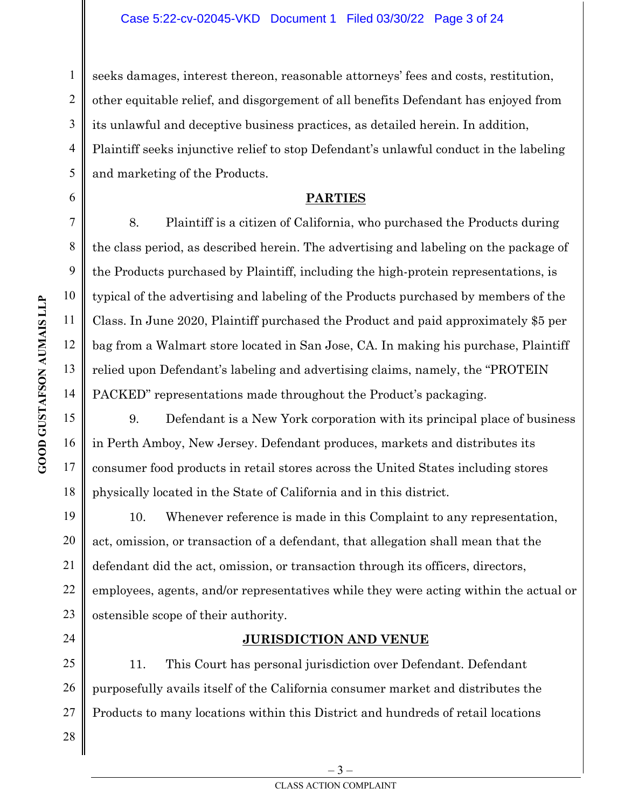seeks damages, interest thereon, reasonable attorneys' fees and costs, restitution, other equitable relief, and disgorgement of all benefits Defendant has enjoyed from its unlawful and deceptive business practices, as detailed herein. In addition, Plaintiff seeks injunctive relief to stop Defendant's unlawful conduct in the labeling and marketing of the Products.

### **PARTIES**

8. Plaintiff is a citizen of California, who purchased the Products during the class period, as described herein. The advertising and labeling on the package of the Products purchased by Plaintiff, including the high-protein representations, is typical of the advertising and labeling of the Products purchased by members of the Class. In June 2020, Plaintiff purchased the Product and paid approximately \$5 per bag from a Walmart store located in San Jose, CA. In making his purchase, Plaintiff relied upon Defendant's labeling and advertising claims, namely, the "PROTEIN PACKED" representations made throughout the Product's packaging.

9. Defendant is a New York corporation with its principal place of business in Perth Amboy, New Jersey. Defendant produces, markets and distributes its consumer food products in retail stores across the United States including stores physically located in the State of California and in this district.

10. Whenever reference is made in this Complaint to any representation, act, omission, or transaction of a defendant, that allegation shall mean that the defendant did the act, omission, or transaction through its officers, directors, employees, agents, and/or representatives while they were acting within the actual or ostensible scope of their authority.

### **JURISDICTION AND VENUE**

25 26 11. This Court has personal jurisdiction over Defendant. Defendant purposefully avails itself of the California consumer market and distributes the Products to many locations within this District and hundreds of retail locations

1

2

3

4

5

6

7

8

9

10

11

 $\overline{\phantom{a}}$ 

12

13

14

15

16

17

18

19

20

21

22

23

24

27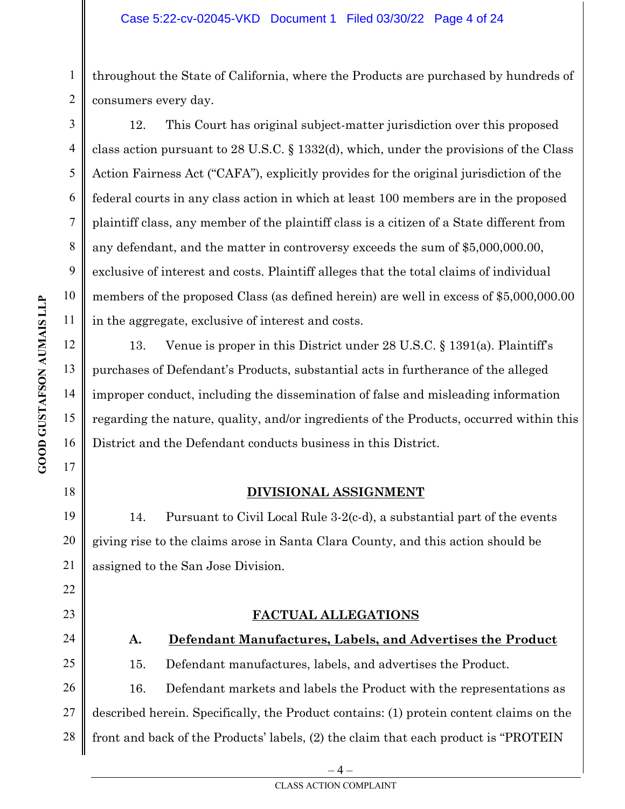1 2 throughout the State of California, where the Products are purchased by hundreds of consumers every day.

 $\overline{\phantom{a}}$ 12. This Court has original subject-matter jurisdiction over this proposed class action pursuant to 28 U.S.C. § 1332(d), which, under the provisions of the Class Action Fairness Act ("CAFA"), explicitly provides for the original jurisdiction of the federal courts in any class action in which at least 100 members are in the proposed plaintiff class, any member of the plaintiff class is a citizen of a State different from any defendant, and the matter in controversy exceeds the sum of \$5,000,000.00, exclusive of interest and costs. Plaintiff alleges that the total claims of individual members of the proposed Class (as defined herein) are well in excess of \$5,000,000.00 in the aggregate, exclusive of interest and costs.

13. Venue is proper in this District under 28 U.S.C. § 1391(a). Plaintiff's purchases of Defendant's Products, substantial acts in furtherance of the alleged improper conduct, including the dissemination of false and misleading information regarding the nature, quality, and/or ingredients of the Products, occurred within this District and the Defendant conducts business in this District.

### **DIVISIONAL ASSIGNMENT**

14. Pursuant to Civil Local Rule 3-2(c-d), a substantial part of the events giving rise to the claims arose in Santa Clara County, and this action should be assigned to the San Jose Division.

### **FACTUAL ALLEGATIONS**

# **A. Defendant Manufactures, Labels, and Advertises the Product**

15. Defendant manufactures, labels, and advertises the Product.

26 27 28 16. Defendant markets and labels the Product with the representations as described herein. Specifically, the Product contains: (1) protein content claims on the front and back of the Products' labels, (2) the claim that each product is "PROTEIN

3

4

5

6

7

8

9

10

11

12

13

14

15

16

17

18

19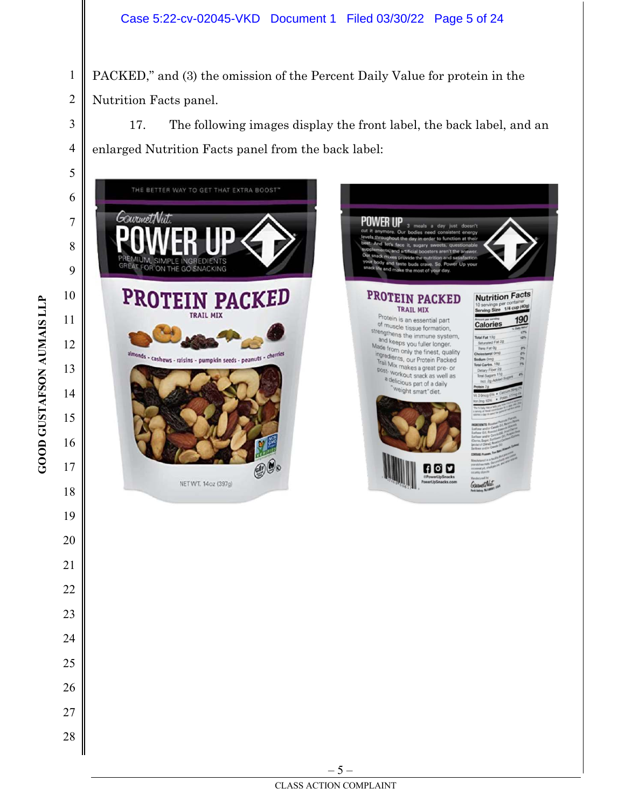PACKED," and (3) the omission of the Percent Daily Value for protein in the Nutrition Facts panel.

17. The following images display the front label, the back label, and an enlarged Nutrition Facts panel from the back label:



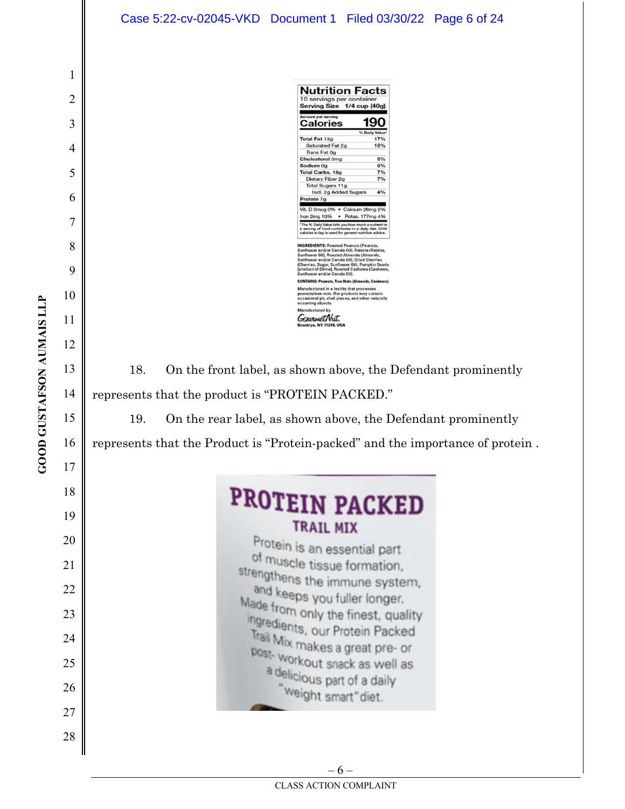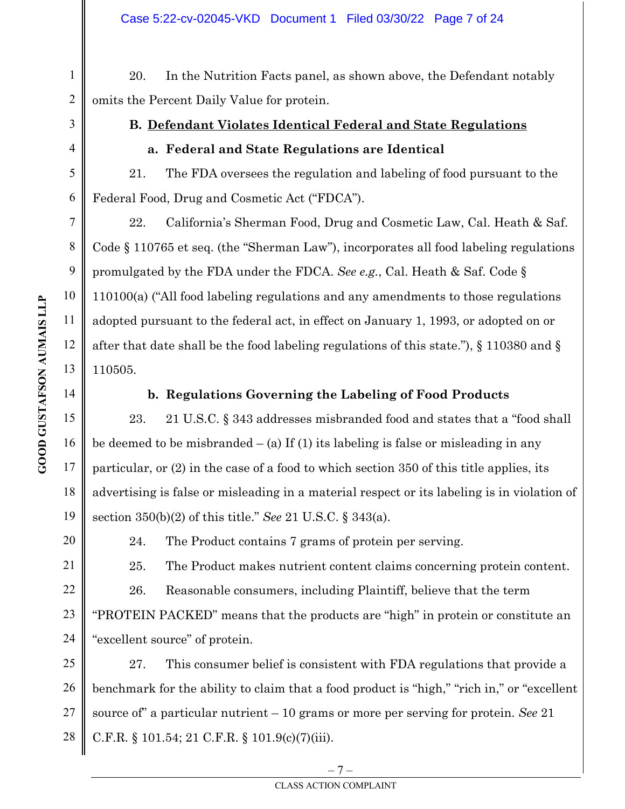20. In the Nutrition Facts panel, as shown above, the Defendant notably omits the Percent Daily Value for protein.

1

2

3

4

5

6

7

8

9

10

11

 $\overline{\phantom{a}}$ 

12

13

14

15

16

17

18

19

21

22

23

24

# **B. Defendant Violates Identical Federal and State Regulations**

### **a. Federal and State Regulations are Identical**

21. The FDA oversees the regulation and labeling of food pursuant to the Federal Food, Drug and Cosmetic Act ("FDCA").

22. California's Sherman Food, Drug and Cosmetic Law, Cal. Heath & Saf. Code § 110765 et seq. (the "Sherman Law"), incorporates all food labeling regulations promulgated by the FDA under the FDCA. *See e.g.*, Cal. Heath & Saf. Code § 110100(a) ("All food labeling regulations and any amendments to those regulations adopted pursuant to the federal act, in effect on January 1, 1993, or adopted on or after that date shall be the food labeling regulations of this state."), § 110380 and § 110505.

### **b. Regulations Governing the Labeling of Food Products**

23. 21 U.S.C. § 343 addresses misbranded food and states that a "food shall be deemed to be misbranded  $-$  (a) If (1) its labeling is false or misleading in any particular, or (2) in the case of a food to which section 350 of this title applies, its advertising is false or misleading in a material respect or its labeling is in violation of section 350(b)(2) of this title." *See* 21 U.S.C. § 343(a).

20

24. The Product contains 7 grams of protein per serving.

25. The Product makes nutrient content claims concerning protein content.

26. Reasonable consumers, including Plaintiff, believe that the term "PROTEIN PACKED" means that the products are "high" in protein or constitute an "excellent source" of protein.

25 26 27 28 27. This consumer belief is consistent with FDA regulations that provide a benchmark for the ability to claim that a food product is "high," "rich in," or "excellent source of" a particular nutrient – 10 grams or more per serving for protein. *See* 21 C.F.R. § 101.54; 21 C.F.R. § 101.9(c)(7)(iii).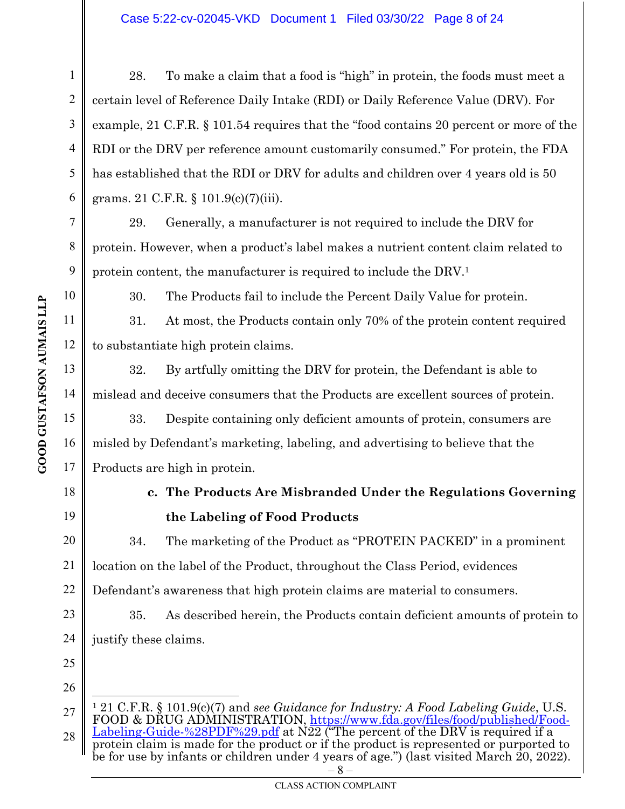#### Case 5:22-cv-02045-VKD Document 1 Filed 03/30/22 Page 8 of 24

28. To make a claim that a food is "high" in protein, the foods must meet a certain level of Reference Daily Intake (RDI) or Daily Reference Value (DRV). For example, 21 C.F.R. § 101.54 requires that the "food contains 20 percent or more of the RDI or the DRV per reference amount customarily consumed." For protein, the FDA has established that the RDI or DRV for adults and children over 4 years old is 50 grams. 21 C.F.R. § 101.9(c)(7)(iii).

29. Generally, a manufacturer is not required to include the DRV for protein. However, when a product's label makes a nutrient content claim related to protein content, the manufacturer is required to include the DRV.<sup>1</sup>

30. The Products fail to include the Percent Daily Value for protein.

31. At most, the Products contain only 70% of the protein content required to substantiate high protein claims.

32. By artfully omitting the DRV for protein, the Defendant is able to mislead and deceive consumers that the Products are excellent sources of protein.

33. Despite containing only deficient amounts of protein, consumers are misled by Defendant's marketing, labeling, and advertising to believe that the Products are high in protein.

# **c. The Products Are Misbranded Under the Regulations Governing the Labeling of Food Products**

34. The marketing of the Product as "PROTEIN PACKED" in a prominent location on the label of the Product, throughout the Class Period, evidences Defendant's awareness that high protein claims are material to consumers.

35. As described herein, the Products contain deficient amounts of protein to justify these claims.

25 26

1

2

3

4

5

6

7

8

9

10

11

 $\overline{\phantom{a}}$ 

12

13

14

15

16

17

18

19

20

21

22

23

<sup>27</sup>  28  $-8 -$ <sup>1</sup> 21 C.F.R. § 101.9(c)(7) and *see Guidance for Industry: A Food Labeling Guide*, U.S. FOOD & DRUG ADMINISTRATION, https://www.fda.gov/files/food/published/Food-Labeling-Guide-%28PDF%29.pdf at N22 ("The percent of the DRV is required if a protein claim is made for the product or if the product is represented or purported to be for use by infants or children under 4 years of age.") (last visited March 20, 2022).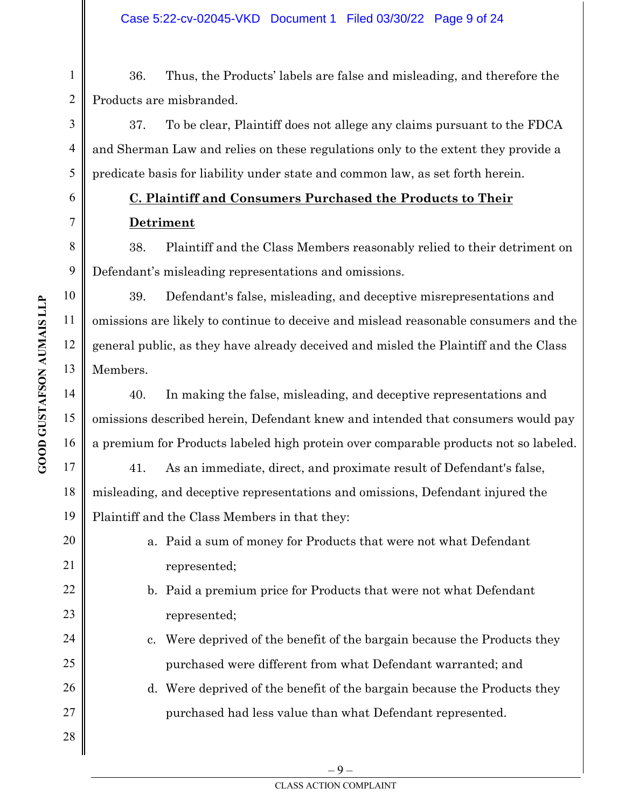36. Thus, the Products' labels are false and misleading, and therefore the Products are misbranded.

37. To be clear, Plaintiff does not allege any claims pursuant to the FDCA and Sherman Law and relies on these regulations only to the extent they provide a predicate basis for liability under state and common law, as set forth herein.

# **C. Plaintiff and Consumers Purchased the Products to Their Detriment**

38. Plaintiff and the Class Members reasonably relied to their detriment on Defendant's misleading representations and omissions.

39. Defendant's false, misleading, and deceptive misrepresentations and omissions are likely to continue to deceive and mislead reasonable consumers and the general public, as they have already deceived and misled the Plaintiff and the Class Members.

40. In making the false, misleading, and deceptive representations and omissions described herein, Defendant knew and intended that consumers would pay a premium for Products labeled high protein over comparable products not so labeled.

41. As an immediate, direct, and proximate result of Defendant's false, misleading, and deceptive representations and omissions, Defendant injured the Plaintiff and the Class Members in that they:

- a. Paid a sum of money for Products that were not what Defendant represented;
- b. Paid a premium price for Products that were not what Defendant represented;
- c. Were deprived of the benefit of the bargain because the Products they purchased were different from what Defendant warranted; and
- d. Were deprived of the benefit of the bargain because the Products they purchased had less value than what Defendant represented.

1

2

3

4

5

6

7

8

9

10

11

 $\overline{\phantom{a}}$ 

12

13

14

15

16

17

18

19

20

21

22

23

24

25

26

27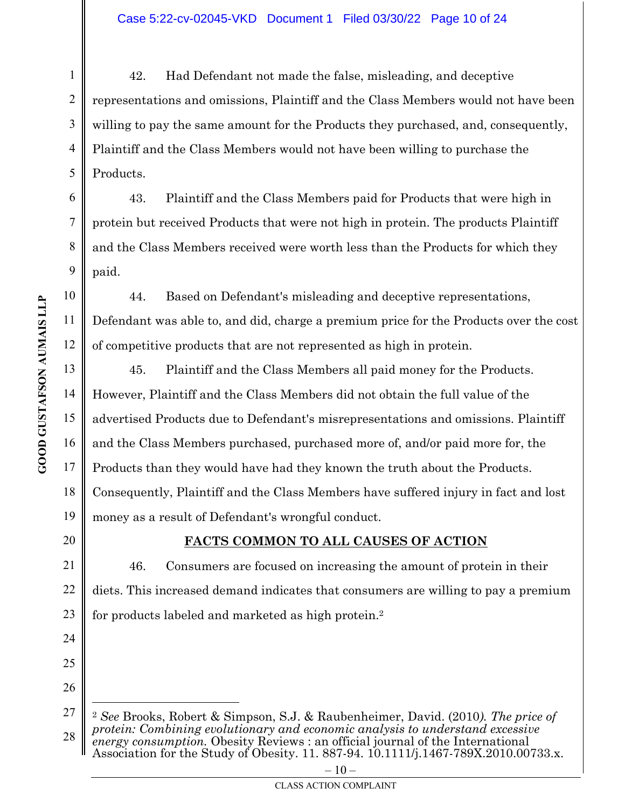42. Had Defendant not made the false, misleading, and deceptive representations and omissions, Plaintiff and the Class Members would not have been willing to pay the same amount for the Products they purchased, and, consequently, Plaintiff and the Class Members would not have been willing to purchase the Products.

43. Plaintiff and the Class Members paid for Products that were high in protein but received Products that were not high in protein. The products Plaintiff and the Class Members received were worth less than the Products for which they paid.

44. Based on Defendant's misleading and deceptive representations, Defendant was able to, and did, charge a premium price for the Products over the cost of competitive products that are not represented as high in protein.

45. Plaintiff and the Class Members all paid money for the Products. However, Plaintiff and the Class Members did not obtain the full value of the advertised Products due to Defendant's misrepresentations and omissions. Plaintiff and the Class Members purchased, purchased more of, and/or paid more for, the Products than they would have had they known the truth about the Products. Consequently, Plaintiff and the Class Members have suffered injury in fact and lost money as a result of Defendant's wrongful conduct.

# 20

21

22

23

24

25

26

### **FACTS COMMON TO ALL CAUSES OF ACTION**

46. Consumers are focused on increasing the amount of protein in their diets. This increased demand indicates that consumers are willing to pay a premium for products labeled and marketed as high protein.<sup>2</sup>

1

2

3

4

5

6

7

8

9

10

11

 $\overline{\phantom{a}}$ 

12

13

14

15

16

17

18

<sup>27</sup>  28 <sup>2</sup> *See* Brooks, Robert & Simpson, S.J. & Raubenheimer, David. (2010*). The price of protein: Combining evolutionary and economic analysis to understand excessive energy consumption.* Obesity Reviews : an official journal of the International Association for the Study of Obesity. 11. 887-94. 10.1111/j.1467-789X.2010.00733.x.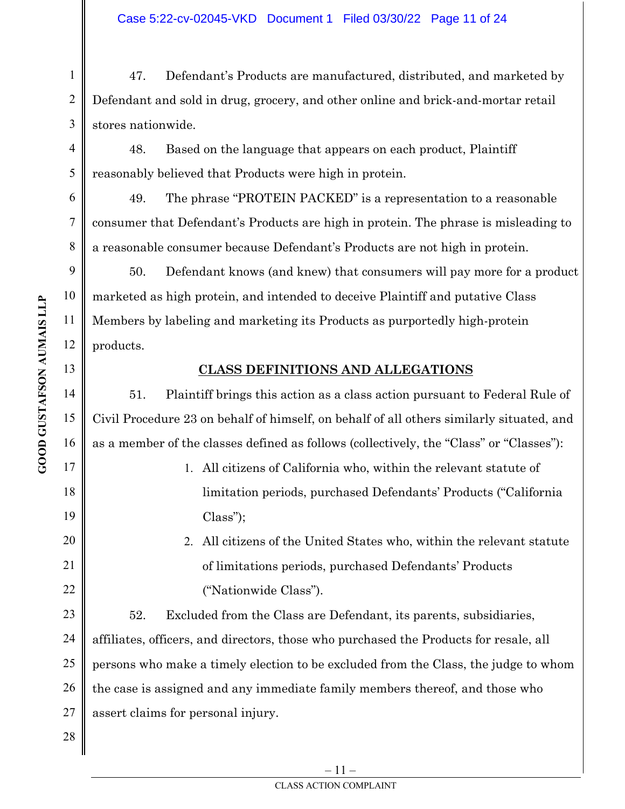47. Defendant's Products are manufactured, distributed, and marketed by Defendant and sold in drug, grocery, and other online and brick-and-mortar retail stores nationwide.

48. Based on the language that appears on each product, Plaintiff reasonably believed that Products were high in protein.

49. The phrase "PROTEIN PACKED" is a representation to a reasonable consumer that Defendant's Products are high in protein. The phrase is misleading to a reasonable consumer because Defendant's Products are not high in protein.

 $\overline{\phantom{a}}$ 50. Defendant knows (and knew) that consumers will pay more for a product marketed as high protein, and intended to deceive Plaintiff and putative Class Members by labeling and marketing its Products as purportedly high-protein products.

### **CLASS DEFINITIONS AND ALLEGATIONS**

51. Plaintiff brings this action as a class action pursuant to Federal Rule of Civil Procedure 23 on behalf of himself, on behalf of all others similarly situated, and as a member of the classes defined as follows (collectively, the "Class" or "Classes"):

> 1. All citizens of California who, within the relevant statute of limitation periods, purchased Defendants' Products ("California Class");

# 2. All citizens of the United States who, within the relevant statute of limitations periods, purchased Defendants' Products ("Nationwide Class").

52. Excluded from the Class are Defendant, its parents, subsidiaries, affiliates, officers, and directors, those who purchased the Products for resale, all persons who make a timely election to be excluded from the Class, the judge to whom the case is assigned and any immediate family members thereof, and those who assert claims for personal injury.

1

2

3

4

5

6

7

8

9

10

11

12

13

14

15

16

17

18

19

20

21

22

23

24

25

26

27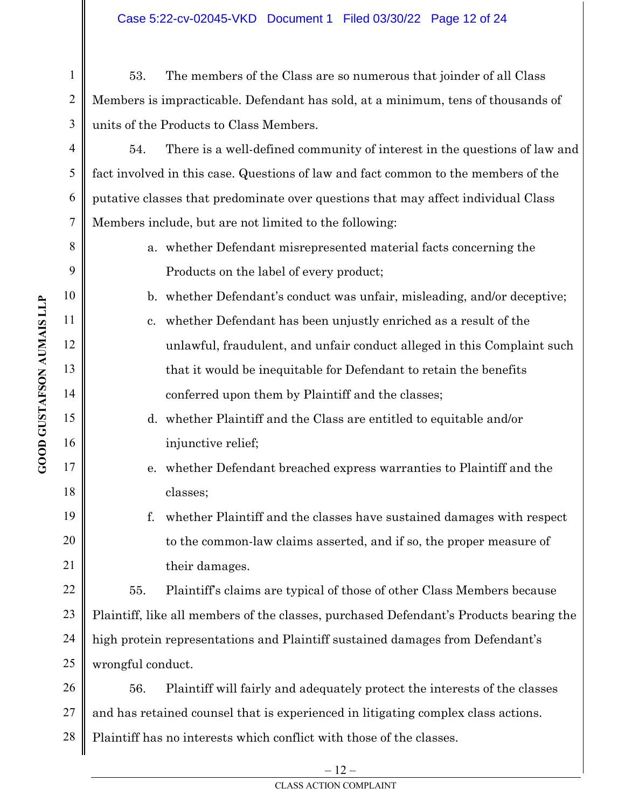53. The members of the Class are so numerous that joinder of all Class Members is impracticable. Defendant has sold, at a minimum, tens of thousands of units of the Products to Class Members.

54. There is a well-defined community of interest in the questions of law and fact involved in this case. Questions of law and fact common to the members of the putative classes that predominate over questions that may affect individual Class Members include, but are not limited to the following:

> a. whether Defendant misrepresented material facts concerning the Products on the label of every product;

b. whether Defendant's conduct was unfair, misleading, and/or deceptive;

- c. whether Defendant has been unjustly enriched as a result of the unlawful, fraudulent, and unfair conduct alleged in this Complaint such that it would be inequitable for Defendant to retain the benefits conferred upon them by Plaintiff and the classes;
- d. whether Plaintiff and the Class are entitled to equitable and/or injunctive relief;
- e. whether Defendant breached express warranties to Plaintiff and the classes;
- f. whether Plaintiff and the classes have sustained damages with respect to the common-law claims asserted, and if so, the proper measure of their damages.

24 25 55. Plaintiff's claims are typical of those of other Class Members because Plaintiff, like all members of the classes, purchased Defendant's Products bearing the high protein representations and Plaintiff sustained damages from Defendant's wrongful conduct.

26 27 28 56. Plaintiff will fairly and adequately protect the interests of the classes and has retained counsel that is experienced in litigating complex class actions. Plaintiff has no interests which conflict with those of the classes.

1

2

3

4

5

6

7

8

9

10

11

 $\overline{\phantom{a}}$ 

12

13

14

15

16

17

18

19

20

21

22

23

– 12 –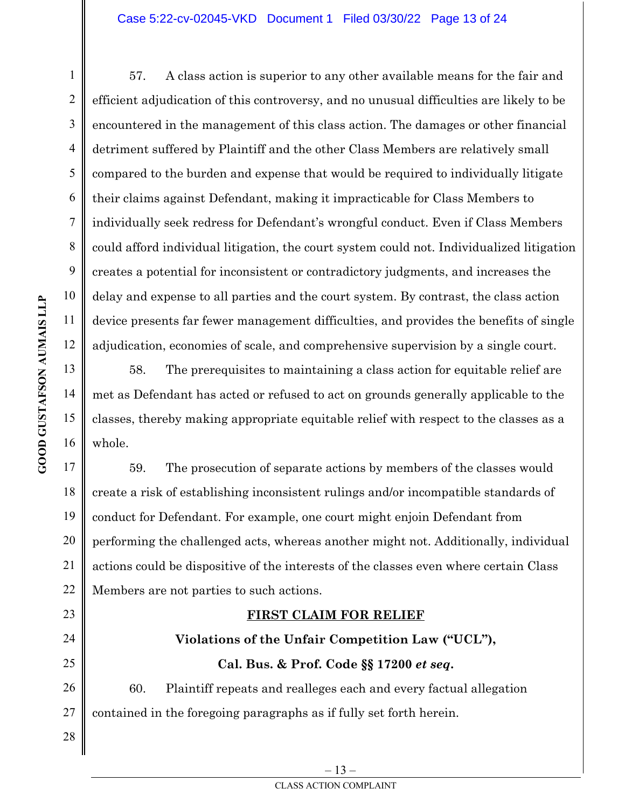57. A class action is superior to any other available means for the fair and efficient adjudication of this controversy, and no unusual difficulties are likely to be encountered in the management of this class action. The damages or other financial detriment suffered by Plaintiff and the other Class Members are relatively small compared to the burden and expense that would be required to individually litigate their claims against Defendant, making it impracticable for Class Members to individually seek redress for Defendant's wrongful conduct. Even if Class Members could afford individual litigation, the court system could not. Individualized litigation creates a potential for inconsistent or contradictory judgments, and increases the delay and expense to all parties and the court system. By contrast, the class action device presents far fewer management difficulties, and provides the benefits of single adjudication, economies of scale, and comprehensive supervision by a single court.

58. The prerequisites to maintaining a class action for equitable relief are met as Defendant has acted or refused to act on grounds generally applicable to the classes, thereby making appropriate equitable relief with respect to the classes as a whole.

59. The prosecution of separate actions by members of the classes would create a risk of establishing inconsistent rulings and/or incompatible standards of conduct for Defendant. For example, one court might enjoin Defendant from performing the challenged acts, whereas another might not. Additionally, individual actions could be dispositive of the interests of the classes even where certain Class Members are not parties to such actions.

### **FIRST CLAIM FOR RELIEF**

# **Violations of the Unfair Competition Law ("UCL"), Cal. Bus. & Prof. Code §§ 17200** *et seq***.**  60. Plaintiff repeats and realleges each and every factual allegation

27 contained in the foregoing paragraphs as if fully set forth herein.

1

2

3

4

5

6

7

8

9

10

11

 $\overline{\phantom{a}}$ 

12

13

14

15

16

17

18

19

20

21

22

23

24

25

26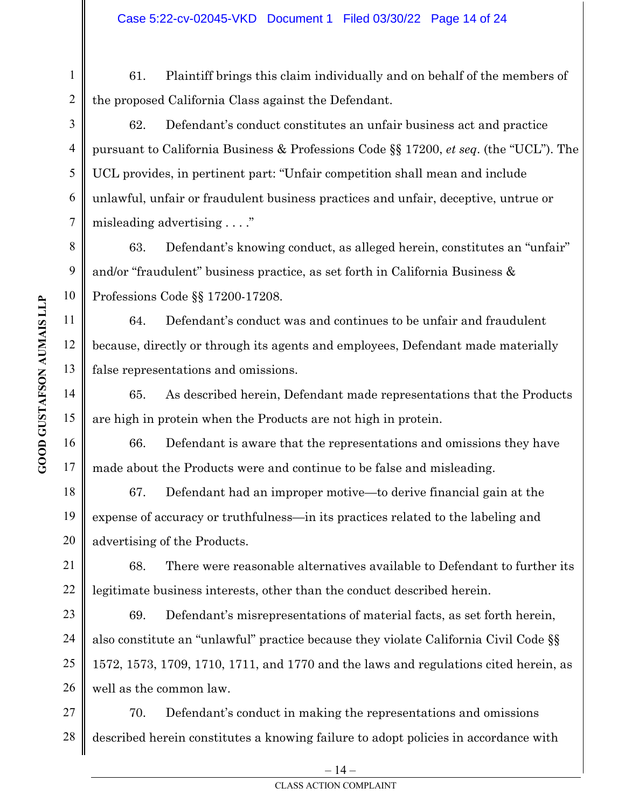61. Plaintiff brings this claim individually and on behalf of the members of the proposed California Class against the Defendant.

62. Defendant's conduct constitutes an unfair business act and practice pursuant to California Business & Professions Code §§ 17200, *et seq*. (the "UCL"). The UCL provides, in pertinent part: "Unfair competition shall mean and include unlawful, unfair or fraudulent business practices and unfair, deceptive, untrue or misleading advertising . . . ."

63. Defendant's knowing conduct, as alleged herein, constitutes an "unfair" and/or "fraudulent" business practice, as set forth in California Business & Professions Code §§ 17200-17208.

64. Defendant's conduct was and continues to be unfair and fraudulent because, directly or through its agents and employees, Defendant made materially false representations and omissions.

65. As described herein, Defendant made representations that the Products are high in protein when the Products are not high in protein.

66. Defendant is aware that the representations and omissions they have made about the Products were and continue to be false and misleading.

67. Defendant had an improper motive—to derive financial gain at the expense of accuracy or truthfulness—in its practices related to the labeling and advertising of the Products.

68. There were reasonable alternatives available to Defendant to further its legitimate business interests, other than the conduct described herein.

69. Defendant's misrepresentations of material facts, as set forth herein, also constitute an "unlawful" practice because they violate California Civil Code §§ 1572, 1573, 1709, 1710, 1711, and 1770 and the laws and regulations cited herein, as well as the common law.

27 28 70. Defendant's conduct in making the representations and omissions described herein constitutes a knowing failure to adopt policies in accordance with

1

2

3

4

5

6

7

8

9

10

11

 $\overline{\phantom{a}}$ 

12

13

14

15

16

17

18

19

20

21

22

23

24

25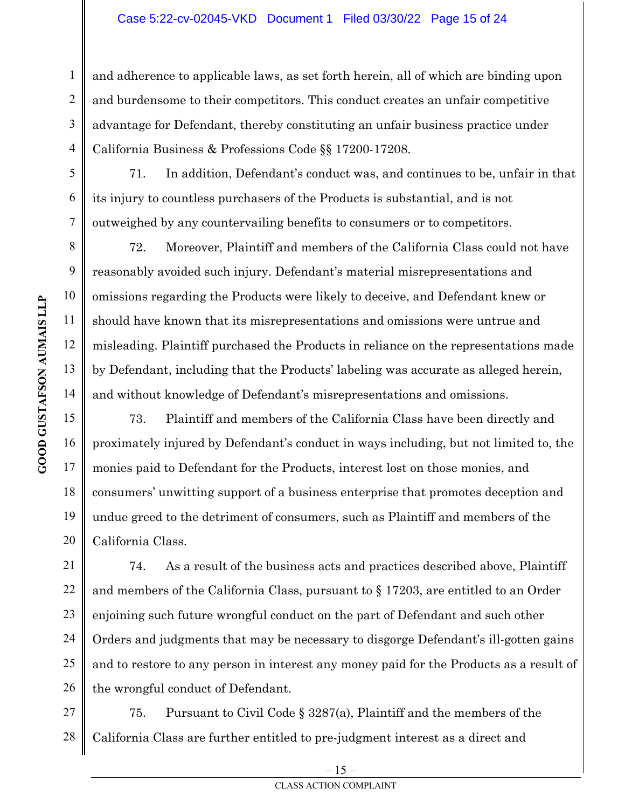and adherence to applicable laws, as set forth herein, all of which are binding upon and burdensome to their competitors. This conduct creates an unfair competitive advantage for Defendant, thereby constituting an unfair business practice under California Business & Professions Code §§ 17200-17208.

71. In addition, Defendant's conduct was, and continues to be, unfair in that its injury to countless purchasers of the Products is substantial, and is not outweighed by any countervailing benefits to consumers or to competitors.

72. Moreover, Plaintiff and members of the California Class could not have reasonably avoided such injury. Defendant's material misrepresentations and omissions regarding the Products were likely to deceive, and Defendant knew or should have known that its misrepresentations and omissions were untrue and misleading. Plaintiff purchased the Products in reliance on the representations made by Defendant, including that the Products' labeling was accurate as alleged herein, and without knowledge of Defendant's misrepresentations and omissions.

73. Plaintiff and members of the California Class have been directly and proximately injured by Defendant's conduct in ways including, but not limited to, the monies paid to Defendant for the Products, interest lost on those monies, and consumers' unwitting support of a business enterprise that promotes deception and undue greed to the detriment of consumers, such as Plaintiff and members of the California Class.

74. As a result of the business acts and practices described above, Plaintiff and members of the California Class, pursuant to § 17203, are entitled to an Order enjoining such future wrongful conduct on the part of Defendant and such other Orders and judgments that may be necessary to disgorge Defendant's ill-gotten gains and to restore to any person in interest any money paid for the Products as a result of the wrongful conduct of Defendant.

27 28 75. Pursuant to Civil Code § 3287(a), Plaintiff and the members of the California Class are further entitled to pre-judgment interest as a direct and

1

2

3

4

5

6

7

8

9

10

11

 $\overline{\phantom{a}}$ 

12

13

14

15

16

17

18

19

20

21

22

23

24

25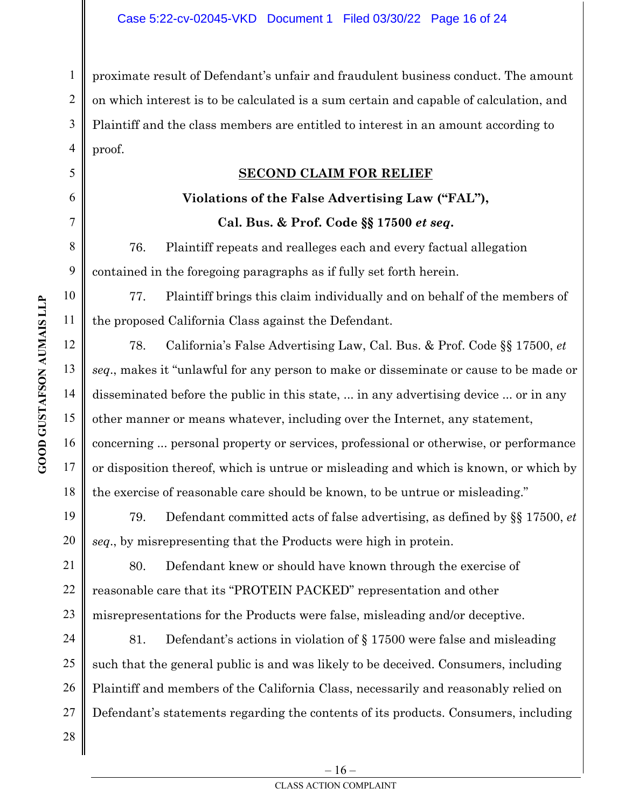4 proximate result of Defendant's unfair and fraudulent business conduct. The amount on which interest is to be calculated is a sum certain and capable of calculation, and Plaintiff and the class members are entitled to interest in an amount according to proof.

### **SECOND CLAIM FOR RELIEF**

# **Violations of the False Advertising Law ("FAL"), Cal. Bus. & Prof. Code §§ 17500** *et seq***.**

76. Plaintiff repeats and realleges each and every factual allegation contained in the foregoing paragraphs as if fully set forth herein.

77. Plaintiff brings this claim individually and on behalf of the members of the proposed California Class against the Defendant.

78. California's False Advertising Law, Cal. Bus. & Prof. Code §§ 17500, *et seq*., makes it "unlawful for any person to make or disseminate or cause to be made or disseminated before the public in this state, ... in any advertising device ... or in any other manner or means whatever, including over the Internet, any statement, concerning ... personal property or services, professional or otherwise, or performance or disposition thereof, which is untrue or misleading and which is known, or which by the exercise of reasonable care should be known, to be untrue or misleading."

79. Defendant committed acts of false advertising, as defined by §§ 17500, *et seq*., by misrepresenting that the Products were high in protein.

80. Defendant knew or should have known through the exercise of reasonable care that its "PROTEIN PACKED" representation and other misrepresentations for the Products were false, misleading and/or deceptive.

24 25 26 81. Defendant's actions in violation of § 17500 were false and misleading such that the general public is and was likely to be deceived. Consumers, including Plaintiff and members of the California Class, necessarily and reasonably relied on Defendant's statements regarding the contents of its products. Consumers, including

1

2

3

5

6

7

8

9

10

11

 $\overline{\phantom{a}}$ 

12

13

14

15

16

17

18

19

20

21

22

23

27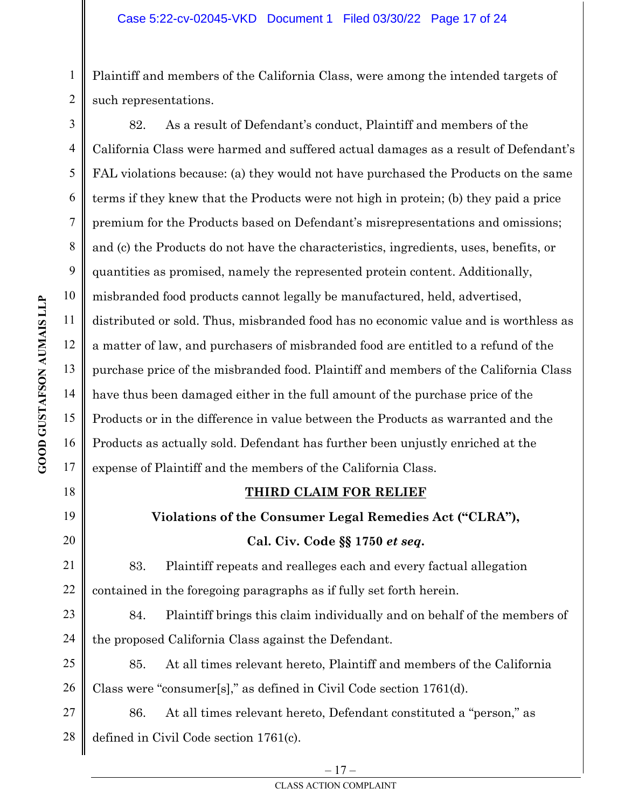Plaintiff and members of the California Class, were among the intended targets of such representations.

 $\overline{\phantom{a}}$ 82. As a result of Defendant's conduct, Plaintiff and members of the California Class were harmed and suffered actual damages as a result of Defendant's FAL violations because: (a) they would not have purchased the Products on the same terms if they knew that the Products were not high in protein; (b) they paid a price premium for the Products based on Defendant's misrepresentations and omissions; and (c) the Products do not have the characteristics, ingredients, uses, benefits, or quantities as promised, namely the represented protein content. Additionally, misbranded food products cannot legally be manufactured, held, advertised, distributed or sold. Thus, misbranded food has no economic value and is worthless as a matter of law, and purchasers of misbranded food are entitled to a refund of the purchase price of the misbranded food. Plaintiff and members of the California Class have thus been damaged either in the full amount of the purchase price of the Products or in the difference in value between the Products as warranted and the Products as actually sold. Defendant has further been unjustly enriched at the expense of Plaintiff and the members of the California Class.

### **THIRD CLAIM FOR RELIEF**

# **Violations of the Consumer Legal Remedies Act ("CLRA"), Cal. Civ. Code §§ 1750** *et seq***.**

83. Plaintiff repeats and realleges each and every factual allegation contained in the foregoing paragraphs as if fully set forth herein.

84. Plaintiff brings this claim individually and on behalf of the members of the proposed California Class against the Defendant.

26 85. At all times relevant hereto, Plaintiff and members of the California Class were "consumer[s]," as defined in Civil Code section 1761(d).

27 28 86. At all times relevant hereto, Defendant constituted a "person," as defined in Civil Code section 1761(c).

1

2

3

4

5

6

7

8

9

10

11

12

13

14

15

16

17

18

19

20

21

22

23

24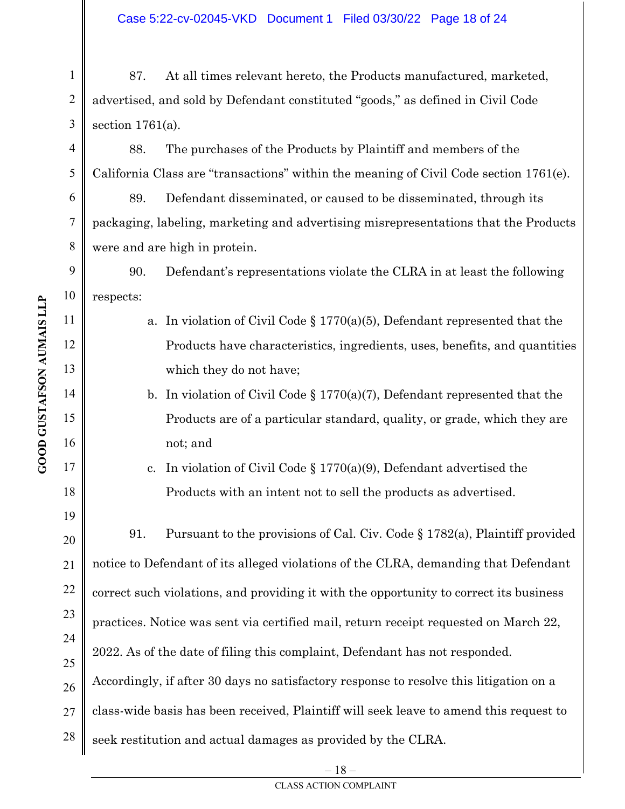2 3 87. At all times relevant hereto, the Products manufactured, marketed, advertised, and sold by Defendant constituted "goods," as defined in Civil Code section 1761(a).

88. The purchases of the Products by Plaintiff and members of the California Class are "transactions" within the meaning of Civil Code section 1761(e).

89. Defendant disseminated, or caused to be disseminated, through its packaging, labeling, marketing and advertising misrepresentations that the Products were and are high in protein.

9 10 90. Defendant's representations violate the CLRA in at least the following respects:

- a. In violation of Civil Code § 1770(a)(5), Defendant represented that the Products have characteristics, ingredients, uses, benefits, and quantities which they do not have;
- b. In violation of Civil Code § 1770(a)(7), Defendant represented that the Products are of a particular standard, quality, or grade, which they are not; and

c. In violation of Civil Code § 1770(a)(9), Defendant advertised the Products with an intent not to sell the products as advertised.

20 21 22 23 24 25 26 27 28 91. Pursuant to the provisions of Cal. Civ. Code § 1782(a), Plaintiff provided notice to Defendant of its alleged violations of the CLRA, demanding that Defendant correct such violations, and providing it with the opportunity to correct its business practices. Notice was sent via certified mail, return receipt requested on March 22, 2022. As of the date of filing this complaint, Defendant has not responded. Accordingly, if after 30 days no satisfactory response to resolve this litigation on a class-wide basis has been received, Plaintiff will seek leave to amend this request to seek restitution and actual damages as provided by the CLRA.

1

4

5

6

7

8

11

 $\overline{\phantom{a}}$ 

12

13

14

15

16

17

18

19

 $-18-$ CLASS ACTION COMPLAINT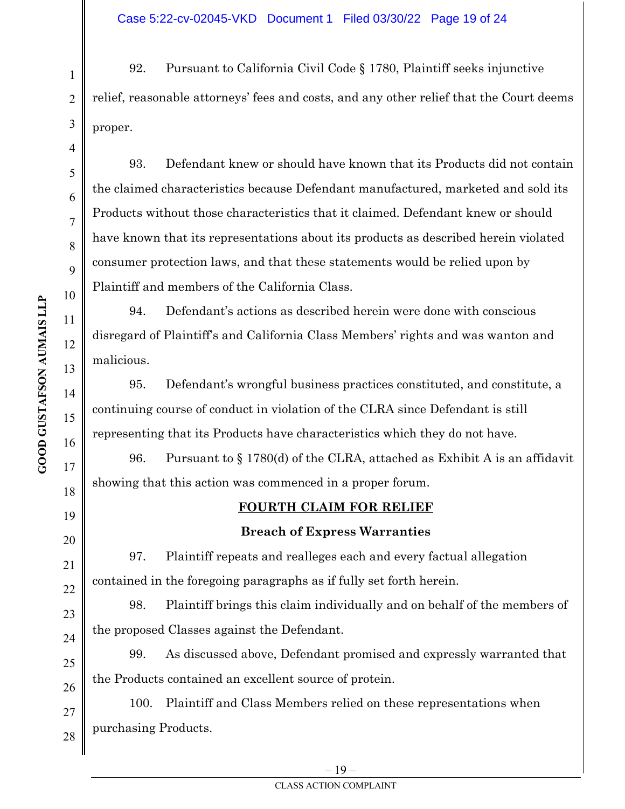92. Pursuant to California Civil Code § 1780, Plaintiff seeks injunctive relief, reasonable attorneys' fees and costs, and any other relief that the Court deems proper.

93. Defendant knew or should have known that its Products did not contain the claimed characteristics because Defendant manufactured, marketed and sold its Products without those characteristics that it claimed. Defendant knew or should have known that its representations about its products as described herein violated consumer protection laws, and that these statements would be relied upon by Plaintiff and members of the California Class.

94. Defendant's actions as described herein were done with conscious disregard of Plaintiff's and California Class Members' rights and was wanton and malicious.

95. Defendant's wrongful business practices constituted, and constitute, a continuing course of conduct in violation of the CLRA since Defendant is still representing that its Products have characteristics which they do not have.

96. Pursuant to § 1780(d) of the CLRA, attached as Exhibit A is an affidavit showing that this action was commenced in a proper forum.

### **FOURTH CLAIM FOR RELIEF**

### **Breach of Express Warranties**

97. Plaintiff repeats and realleges each and every factual allegation contained in the foregoing paragraphs as if fully set forth herein.

98. Plaintiff brings this claim individually and on behalf of the members of the proposed Classes against the Defendant.

99. As discussed above, Defendant promised and expressly warranted that the Products contained an excellent source of protein.

100. Plaintiff and Class Members relied on these representations when purchasing Products.

1

2

3

4

5

6

7

8

9

10

11

 $\overline{\phantom{a}}$ 

12

13

14

15

16

17

18

19

20

21

22

23

24

25

26

27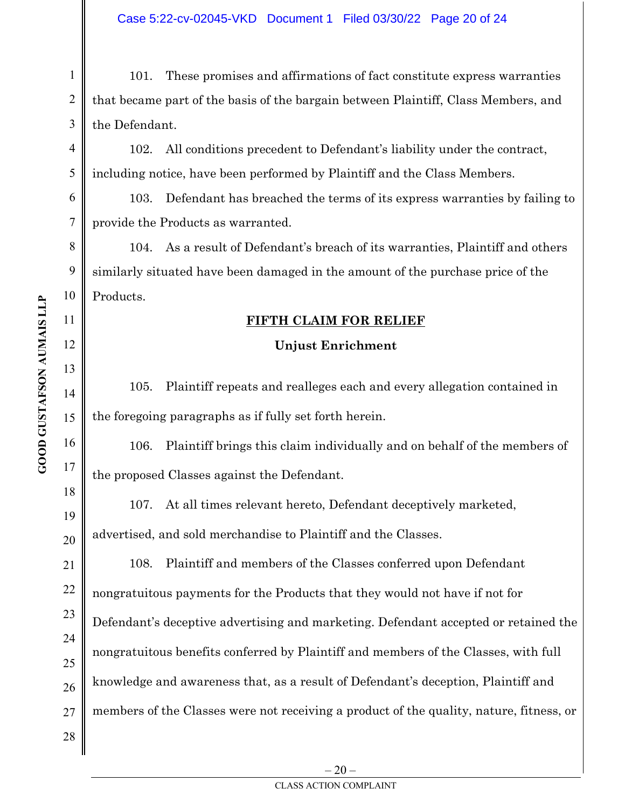101. These promises and affirmations of fact constitute express warranties that became part of the basis of the bargain between Plaintiff, Class Members, and the Defendant.

102. All conditions precedent to Defendant's liability under the contract, including notice, have been performed by Plaintiff and the Class Members.

103. Defendant has breached the terms of its express warranties by failing to provide the Products as warranted.

104. As a result of Defendant's breach of its warranties, Plaintiff and others similarly situated have been damaged in the amount of the purchase price of the Products.

### **FIFTH CLAIM FOR RELIEF**

### **Unjust Enrichment**

105. Plaintiff repeats and realleges each and every allegation contained in the foregoing paragraphs as if fully set forth herein.

106. Plaintiff brings this claim individually and on behalf of the members of the proposed Classes against the Defendant.

107. At all times relevant hereto, Defendant deceptively marketed, advertised, and sold merchandise to Plaintiff and the Classes.

108. Plaintiff and members of the Classes conferred upon Defendant nongratuitous payments for the Products that they would not have if not for Defendant's deceptive advertising and marketing. Defendant accepted or retained the nongratuitous benefits conferred by Plaintiff and members of the Classes, with full knowledge and awareness that, as a result of Defendant's deception, Plaintiff and members of the Classes were not receiving a product of the quality, nature, fitness, or

1

2

3

4

5

6

7

8

9

10

11

 $\overline{\phantom{a}}$ 

12

13

14

15

16

17

18

19

20

21

22

23

24

25

26

27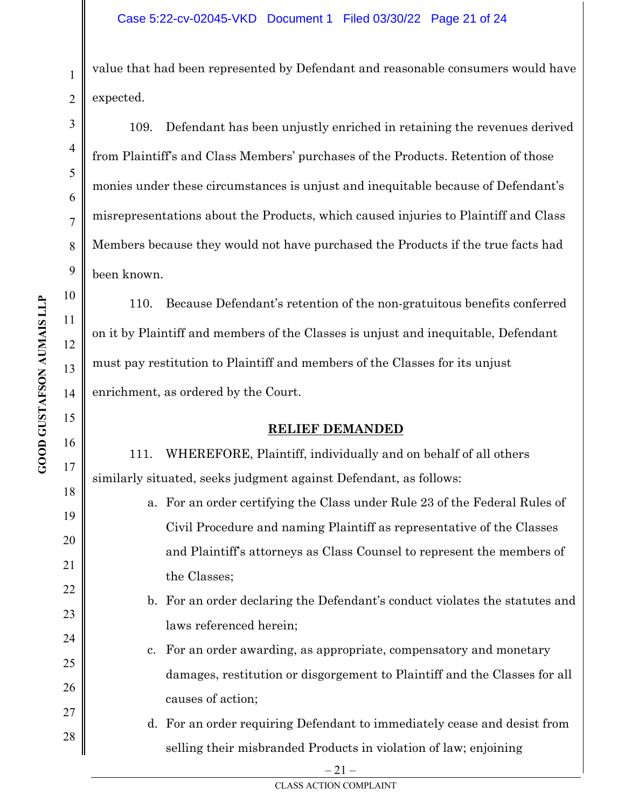value that had been represented by Defendant and reasonable consumers would have expected.

109. Defendant has been unjustly enriched in retaining the revenues derived from Plaintiff's and Class Members' purchases of the Products. Retention of those monies under these circumstances is unjust and inequitable because of Defendant's misrepresentations about the Products, which caused injuries to Plaintiff and Class Members because they would not have purchased the Products if the true facts had been known.

 $\overline{\phantom{a}}$ 110. Because Defendant's retention of the non-gratuitous benefits conferred on it by Plaintiff and members of the Classes is unjust and inequitable, Defendant must pay restitution to Plaintiff and members of the Classes for its unjust enrichment, as ordered by the Court.

### **RELIEF DEMANDED**

111. WHEREFORE, Plaintiff, individually and on behalf of all others similarly situated, seeks judgment against Defendant, as follows:

- a. For an order certifying the Class under Rule 23 of the Federal Rules of Civil Procedure and naming Plaintiff as representative of the Classes and Plaintiff's attorneys as Class Counsel to represent the members of the Classes;
- b. For an order declaring the Defendant's conduct violates the statutes and laws referenced herein;
- c. For an order awarding, as appropriate, compensatory and monetary damages, restitution or disgorgement to Plaintiff and the Classes for all causes of action;
- d. For an order requiring Defendant to immediately cease and desist from selling their misbranded Products in violation of law; enjoining

 $-21-$ 

1

2

3

4

5

6

7

8

9

10

11

12

13

14

15

16

17

18

19

20

21

22

23

24

25

26

27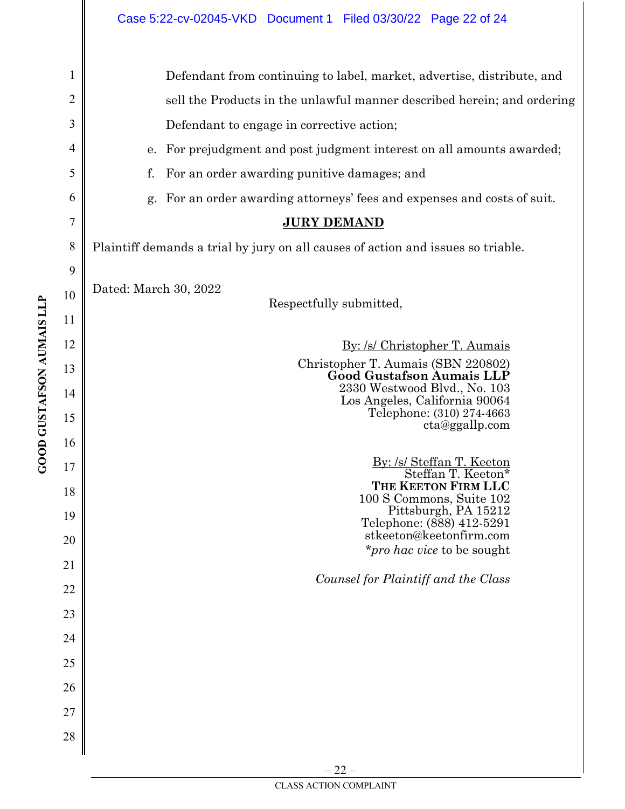|                | Case 5:22-cv-02045-VKD Document 1 Filed 03/30/22 Page 22 of 24                   |  |  |
|----------------|----------------------------------------------------------------------------------|--|--|
| 1              | Defendant from continuing to label, market, advertise, distribute, and           |  |  |
| $\overline{2}$ | sell the Products in the unlawful manner described herein; and ordering          |  |  |
| 3              | Defendant to engage in corrective action;                                        |  |  |
| 4              | e. For prejudgment and post judgment interest on all amounts awarded;            |  |  |
| 5              | f.<br>For an order awarding punitive damages; and                                |  |  |
| 6              | g. For an order awarding attorneys' fees and expenses and costs of suit.         |  |  |
| 7              | <b>JURY DEMAND</b>                                                               |  |  |
| 8              | Plaintiff demands a trial by jury on all causes of action and issues so triable. |  |  |
| 9              |                                                                                  |  |  |
| 10             | Dated: March 30, 2022<br>Respectfully submitted,                                 |  |  |
| 11             |                                                                                  |  |  |
| 12             | By: /s/ Christopher T. Aumais                                                    |  |  |
| 13             | Christopher T. Aumais (SBN 220802)<br><b>Good Gustafson Aumais LLP</b>           |  |  |
| 14             | 2330 Westwood Blvd., No. 103<br>Los Angeles, California 90064                    |  |  |
| 15             | Telephone: (310) 274-4663<br>cta@ggallp.com                                      |  |  |
| 16             |                                                                                  |  |  |
| 17             | By: /s/ Steffan T. Keeton<br>Steffan T. Keeton*                                  |  |  |
| 18             | THE KEETON FIRM LLC<br>100 S Commons, Suite 102                                  |  |  |
| 19             | Pittsburgh, PA 15212<br>Telephone: (888) 412-5291<br>stkeeton@keetonfirm.com     |  |  |
| 20             | <i>r o hac vice</i> to be sought                                                 |  |  |
| 21             | Counsel for Plaintiff and the Class                                              |  |  |
| 22             |                                                                                  |  |  |
| 23             |                                                                                  |  |  |
| 24             |                                                                                  |  |  |
| 25             |                                                                                  |  |  |
| 26             |                                                                                  |  |  |
| 27             |                                                                                  |  |  |
| 28             |                                                                                  |  |  |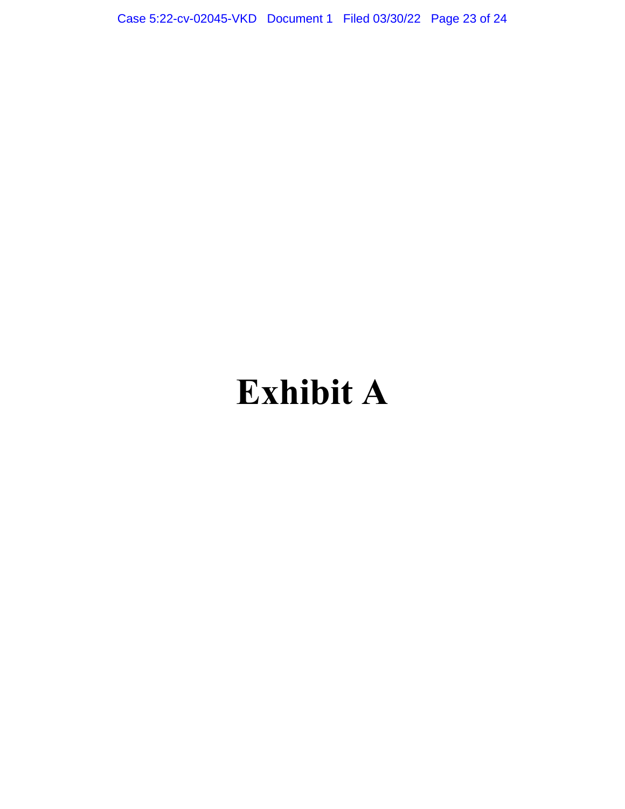Case 5:22-cv-02045-VKD Document 1 Filed 03/30/22 Page 23 of 24

# **Exhibit A**